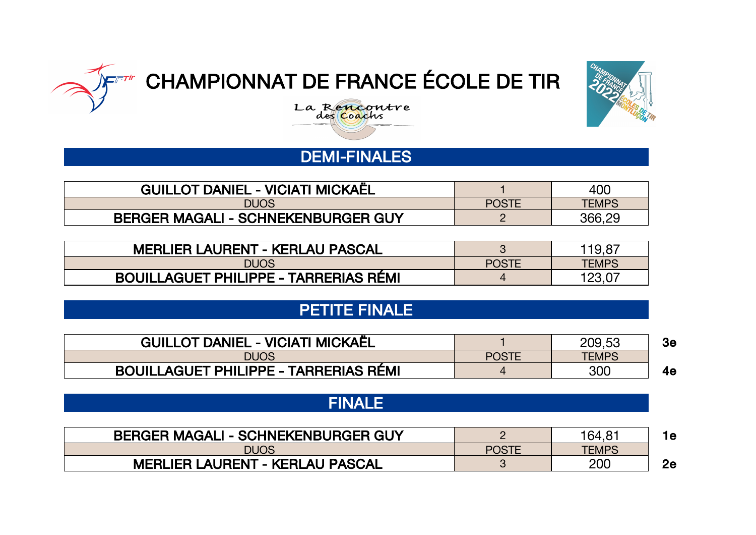





# DEMI-FINALES

| <b>GUILLOT DANIEL - VICIATI MICKAËL</b>   |              | 400          |  |  |
|-------------------------------------------|--------------|--------------|--|--|
| <b>DUOS</b>                               | <b>POSTE</b> | <b>TEMPS</b> |  |  |
| <b>BERGER MAGALI - SCHNEKENBURGER GUY</b> |              | 366,29       |  |  |

| <b>MERLIER LAURENT - KERLAU PASCAL</b>       |              | 119.87       |
|----------------------------------------------|--------------|--------------|
| <b>DUOS</b>                                  | <b>POSTE</b> | <b>TEMPS</b> |
| <b>BOUILLAGUET PHILIPPE - TARRERIAS RÉMI</b> |              | 123.07       |

## PETITE FINALE

| <b>GUILLOT DANIEL - VICIATI MICKAËL</b> |              | 209,53       | Зе |
|-----------------------------------------|--------------|--------------|----|
| <b>DUOS</b>                             | <b>POSTE</b> | <b>TEMPS</b> |    |
| BOUILLAGUET PHILIPPE - TARRERIAS RÉMI   |              | 300          | 4е |

### FINALE

| <b>BERGER MAGALI - SCHNEKENBURGER GUY</b> |              | 164.8 |    |
|-------------------------------------------|--------------|-------|----|
| <b>DUOS</b>                               | <b>POSTE</b> | TEMPS |    |
| <b>MERLIER LAURENT - KERLAU PASCAL</b>    |              | 200   | 2e |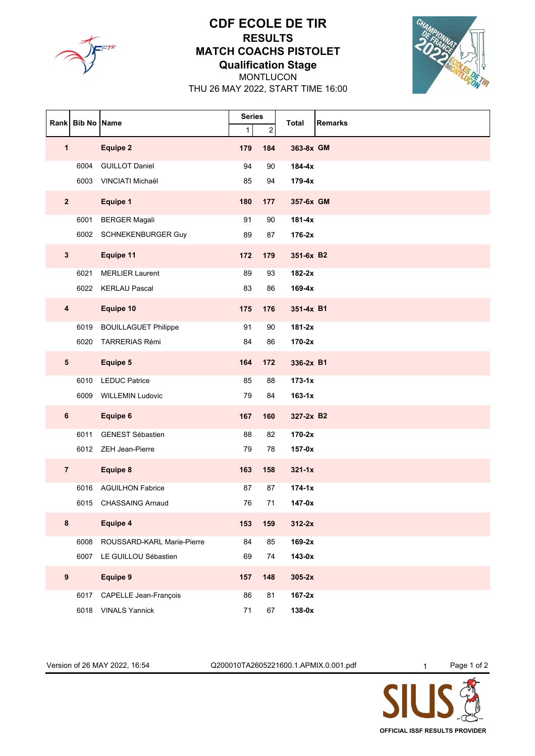

#### **CDF ECOLE DE TIR RESULTS MATCH COACHS PISTOLET Qualification Stage**



MONTLUCON THU 26 MAY 2022, START TIME 16:00

| Rank                    | <b>Bib No Name</b> |                             | <b>Series</b><br>$\overline{c}$<br>1 |     | <b>Remarks</b><br>Total |
|-------------------------|--------------------|-----------------------------|--------------------------------------|-----|-------------------------|
| $\mathbf{1}$            |                    | <b>Equipe 2</b>             | 179                                  | 184 | 363-8x GM               |
|                         | 6004               | <b>GUILLOT Daniel</b>       | 94                                   | 90  | 184-4x                  |
|                         | 6003               | VINCIATI Michaël            | 85                                   | 94  | $179-4x$                |
| $\overline{2}$          |                    | Equipe 1                    | 180                                  | 177 | 357-6x GM               |
|                         | 6001               | <b>BERGER Magali</b>        | 91                                   | 90  | $181-4x$                |
|                         | 6002               | SCHNEKENBURGER Guy          | 89                                   | 87  | $176-2x$                |
| $\mathbf{3}$            |                    | Equipe 11                   | 172                                  | 179 | 351-6x B2               |
|                         | 6021               | <b>MERLIER Laurent</b>      | 89                                   | 93  | 182-2x                  |
|                         | 6022               | <b>KERLAU Pascal</b>        | 83                                   | 86  | $169-4x$                |
| $\overline{\mathbf{4}}$ |                    | Equipe 10                   | 175                                  | 176 | 351-4x B1               |
|                         | 6019               | <b>BOUILLAGUET Philippe</b> | 91                                   | 90  | $181-2x$                |
|                         | 6020               | <b>TARRERIAS Rémi</b>       | 84                                   | 86  | $170-2x$                |
| 5                       |                    | Equipe 5                    | 164                                  | 172 | 336-2x B1               |
|                         | 6010               | <b>LEDUC Patrice</b>        | 85                                   | 88  | $173-1x$                |
|                         | 6009               | <b>WILLEMIN Ludovic</b>     | 79                                   | 84  | $163-1x$                |
| 6                       |                    | Equipe 6                    | 167                                  | 160 | 327-2x B2               |
|                         | 6011               | <b>GENEST Sébastien</b>     | 88                                   | 82  | $170-2x$                |
|                         |                    | 6012 ZEH Jean-Pierre        | 79                                   | 78  | $157-0x$                |
| $\overline{7}$          |                    | Equipe 8                    | 163                                  | 158 | $321 - 1x$              |
|                         | 6016               | <b>AGUILHON Fabrice</b>     | 87                                   | 87  | $174 - 1x$              |
|                         | 6015               | <b>CHASSAING Arnaud</b>     | 76                                   | 71  | $147-0x$                |
| 8                       |                    | Equipe 4                    | 153                                  | 159 | $312-2x$                |
|                         | 6008               | ROUSSARD-KARL Marie-Pierre  | 84                                   | 85  | $169-2x$                |
|                         | 6007               | LE GUILLOU Sébastien        | 69                                   | 74  | $143-0x$                |
| $\boldsymbol{9}$        |                    | <b>Equipe 9</b>             | 157                                  | 148 | $305-2x$                |
|                         | 6017               | CAPELLE Jean-François       | 86                                   | 81  | $167-2x$                |
|                         |                    | 6018 VINALS Yannick         | $71$                                 | 67  | 138-0x                  |

Version of 26 MAY 2022, 16:54 Q200010TA2605221600.1.APMIX.0.001.pdf 1 Page 1 of 2